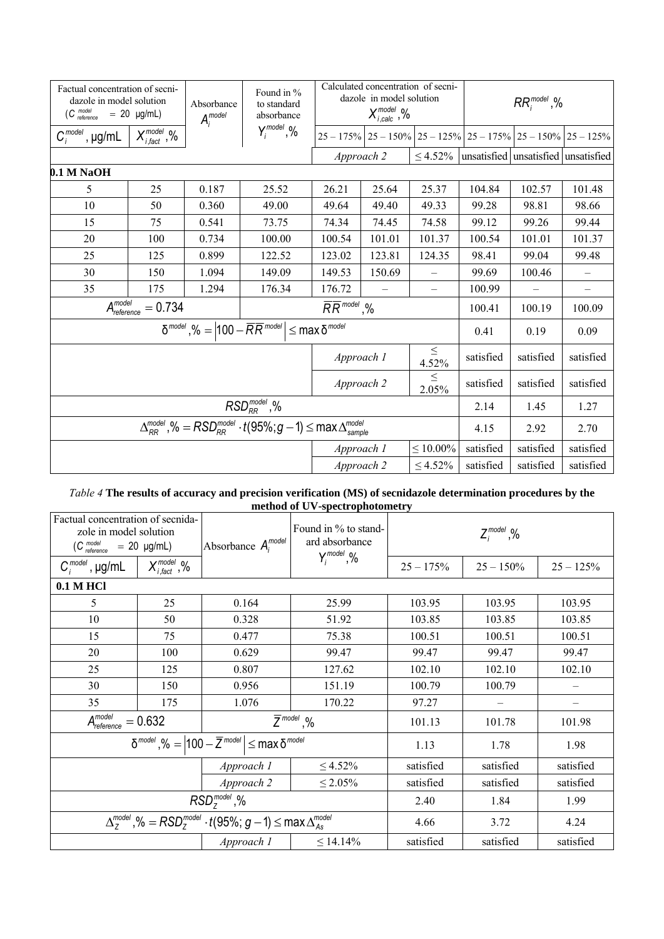| Factual concentration of secni-<br>dazole in model solution<br>$(C_{reference}^{model}$<br>$= 20 \text{ µg/mL}$ |                                                                                                  | Absorbance<br>$A_i^{model}$ | Found in %<br>to standard<br>absorbance | Calculated concentration of secni-<br>dazole in model solution<br>$X_{i,calc}^{model}$ ,% |                 |                          | $RR_i^{model}, %$ |                                                                |                          |
|-----------------------------------------------------------------------------------------------------------------|--------------------------------------------------------------------------------------------------|-----------------------------|-----------------------------------------|-------------------------------------------------------------------------------------------|-----------------|--------------------------|-------------------|----------------------------------------------------------------|--------------------------|
| $C_i^{model}$ , $\mu g/mL$                                                                                      | $X_{i, \text{fact}}^{\text{model}}$ ,%                                                           |                             | $Y_i^{\text{model}}, Y_0$               |                                                                                           |                 |                          |                   | $25 - 175\%$ 25 - 150% 25 - 125% 25 - 175% 25 - 150% 25 - 125% |                          |
|                                                                                                                 |                                                                                                  |                             |                                         |                                                                                           | Approach 2      |                          |                   | $\leq$ 4.52% unsatisfied unsatisfied unsatisfied               |                          |
| $0.1$ M NaOH                                                                                                    |                                                                                                  |                             |                                         |                                                                                           |                 |                          |                   |                                                                |                          |
| 5                                                                                                               | 25                                                                                               | 0.187                       | 25.52                                   | 26.21                                                                                     | 25.64           | 25.37                    | 104.84            | 102.57                                                         | 101.48                   |
| 10                                                                                                              | 50                                                                                               | 0.360                       | 49.00                                   | 49.64                                                                                     | 49.40           | 49.33                    | 99.28             | 98.81                                                          | 98.66                    |
| 15                                                                                                              | 75                                                                                               | 0.541                       | 73.75                                   | 74.34                                                                                     | 74.45           | 74.58                    | 99.12             | 99.26                                                          | 99.44                    |
| 20                                                                                                              | 100                                                                                              | 0.734                       | 100.00                                  | 100.54                                                                                    | 101.01          | 101.37                   | 100.54            | 101.01                                                         | 101.37                   |
| 25                                                                                                              | 125                                                                                              | 0.899                       | 122.52                                  | 123.02                                                                                    | 123.81          | 124.35                   | 98.41             | 99.04                                                          | 99.48                    |
| 30                                                                                                              | 150                                                                                              | 1.094                       | 149.09                                  | 149.53                                                                                    | 150.69          | $\overline{\phantom{0}}$ | 99.69             | 100.46                                                         | $\qquad \qquad -$        |
| 35                                                                                                              | 175                                                                                              | 1.294                       | 176.34                                  | 176.72                                                                                    |                 | $\equiv$                 | 100.99            |                                                                | $\overline{\phantom{0}}$ |
| A <sub>reference</sub><br>$= 0.734$                                                                             |                                                                                                  |                             | $\overline{RR}^{model}$ ,%              |                                                                                           |                 | 100.41                   | 100.19            | 100.09                                                         |                          |
| $\delta^{model}$ , % = $ 100 - \overline{R} \overline{R}^{model}  \leq \max \delta^{model}$                     |                                                                                                  |                             |                                         |                                                                                           |                 | 0.41                     | 0.19              | 0.09                                                           |                          |
|                                                                                                                 |                                                                                                  |                             | Approach 1                              |                                                                                           | $\leq$<br>4.52% | satisfied                | satisfied         | satisfied                                                      |                          |
|                                                                                                                 |                                                                                                  |                             |                                         | Approach 2<br>2.05%                                                                       |                 | $\leq$                   | satisfied         | satisfied                                                      | satisfied                |
| $RSDRRmodel$ ,%                                                                                                 |                                                                                                  |                             |                                         |                                                                                           | 2.14            | 1.45                     | 1.27              |                                                                |                          |
|                                                                                                                 | $\Delta_{RR}^{model}$ ,% = $RSD_{RR}^{model} \cdot t(95\%;g-1) \leq max \Delta_{sample}^{model}$ |                             |                                         |                                                                                           |                 | 4.15                     | 2.92              | 2.70                                                           |                          |
|                                                                                                                 |                                                                                                  |                             | Approach 1                              |                                                                                           | $\leq 10.00\%$  | satisfied                | satisfied         | satisfied                                                      |                          |
|                                                                                                                 |                                                                                                  |                             | Approach 2                              |                                                                                           | $\leq 4.52\%$   | satisfied                | satisfied         | satisfied                                                      |                          |

## *Table 4* **The results of accuracy and precision verification (MS) of secnidazole determination procedures by the method of UV-spectrophotometry**

| Factual concentration of secnida-<br>zole in model solution<br>$(C_{reference}^{model} = 20$ µg/mL)        |                         | Absorbance $A_i^{model}$           | Found in % to stand-<br>ard absorbance | $Z_i^{\text{model}}$ ,% |              |                   |  |  |
|------------------------------------------------------------------------------------------------------------|-------------------------|------------------------------------|----------------------------------------|-------------------------|--------------|-------------------|--|--|
| $C_i^{model}$ , µg/mL                                                                                      | $X_{i,fact}^{model}$ ,% |                                    | $Y_i^{model}$ ,%                       | $25 - 175%$             | $25 - 150\%$ | $25 - 125%$       |  |  |
| 0.1 M HCl                                                                                                  |                         |                                    |                                        |                         |              |                   |  |  |
| 5                                                                                                          | 25                      | 0.164                              | 25.99                                  | 103.95                  | 103.95       | 103.95            |  |  |
| 10                                                                                                         | 50                      | 0.328                              | 51.92                                  | 103.85                  | 103.85       | 103.85            |  |  |
| 15                                                                                                         | 75                      | 0.477                              | 75.38                                  | 100.51                  | 100.51       | 100.51            |  |  |
| 20                                                                                                         | 100                     | 0.629                              | 99.47                                  | 99.47                   | 99.47        | 99.47             |  |  |
| 25                                                                                                         | 125                     | 0.807                              | 127.62                                 | 102.10                  | 102.10       | 102.10            |  |  |
| 30                                                                                                         | 150                     | 0.956                              | 151.19                                 | 100.79                  | 100.79       | $\qquad \qquad -$ |  |  |
| 35                                                                                                         | 175                     | 1.076                              | 170.22                                 | 97.27                   |              |                   |  |  |
| $A_\textit{reference}^\textit{model} = 0.632$                                                              |                         | $\overline{Z}^{\textit{model}}$ ,% |                                        | 101.13                  | 101.78       | 101.98            |  |  |
| $\delta^{model}$ , % = $ 100 - \overline{Z}^{model}  \leq \max \delta^{model}$                             |                         |                                    |                                        | 1.13                    | 1.78         | 1.98              |  |  |
|                                                                                                            |                         | Approach 1                         | $\leq 4.52\%$                          | satisfied               | satisfied    | satisfied         |  |  |
|                                                                                                            |                         | Approach 2                         | $\leq 2.05\%$                          | satisfied               | satisfied    | satisfied         |  |  |
| $RSD7model,$ %                                                                                             |                         |                                    |                                        | 2.40                    | 1.84         | 1.99              |  |  |
| $\Delta_7^{model}$ ,% = RSD <sub>7</sub> <sup>model</sup> · t(95%; g – 1) $\leq$ max $\Delta_{As}^{model}$ |                         |                                    |                                        | 4.66                    | 3.72         | 4.24              |  |  |
|                                                                                                            |                         | Approach 1                         | $\leq 14.14\%$                         | satisfied               | satisfied    | satisfied         |  |  |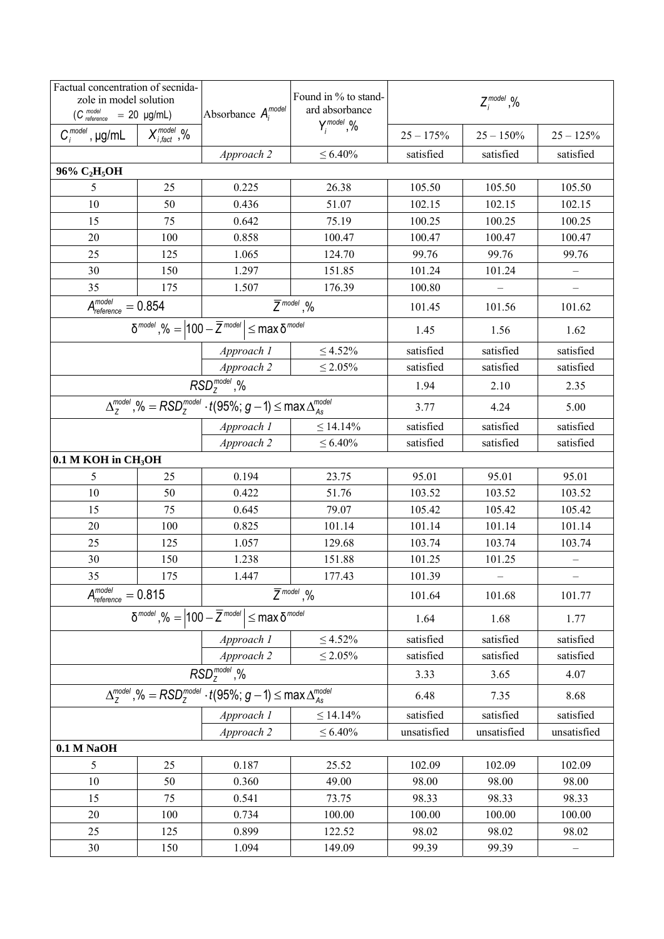| Factual concentration of secnida-<br>zole in model solution<br>$(C \frac{model}{reference} = 20 \mu g/mL)$ |                                                                                | Absorbance $A_i^{model}$                                                                | Found in % to stand-<br>ard absorbance | $Z_i^{\text{model}}$ ,% |              |                   |  |
|------------------------------------------------------------------------------------------------------------|--------------------------------------------------------------------------------|-----------------------------------------------------------------------------------------|----------------------------------------|-------------------------|--------------|-------------------|--|
| $C_i^{model}$ , µg/mL                                                                                      | $X_{i, \text{fact}}^{model}$ ,%                                                |                                                                                         | $Y_i^{\text{model}}, Y_0$              | $25 - 175%$             | $25 - 150\%$ | $25 - 125%$       |  |
|                                                                                                            |                                                                                | Approach 2                                                                              | $\leq 6.40\%$                          | satisfied               | satisfied    | satisfied         |  |
| 96% C <sub>2</sub> H <sub>5</sub> OH                                                                       |                                                                                |                                                                                         |                                        |                         |              |                   |  |
| 5                                                                                                          | 25                                                                             | 0.225                                                                                   | 26.38                                  | 105.50                  | 105.50       | 105.50            |  |
| 10                                                                                                         | 50                                                                             | 0.436                                                                                   | 51.07                                  | 102.15                  | 102.15       | 102.15            |  |
| 15                                                                                                         | 75                                                                             | 0.642                                                                                   | 75.19                                  | 100.25                  | 100.25       | 100.25            |  |
| 20                                                                                                         | 100                                                                            | 0.858                                                                                   | 100.47                                 | 100.47                  | 100.47       | 100.47            |  |
| 25                                                                                                         | 125                                                                            | 1.065                                                                                   | 124.70                                 | 99.76                   | 99.76        | 99.76             |  |
| 30                                                                                                         | 150                                                                            | 1.297                                                                                   | 151.85                                 | 101.24                  | 101.24       |                   |  |
| 35                                                                                                         | 175                                                                            | 1.507                                                                                   | 176.39                                 | 100.80                  |              |                   |  |
| $\overline{A_{reference}^{model}} = 0.854$                                                                 |                                                                                |                                                                                         | $\overline{Z}^{\textit{model}}, \%$    | 101.45                  | 101.56       | 101.62            |  |
|                                                                                                            |                                                                                | $\delta^{model}$ , % = $ 100 - \overline{Z}^{model}  \leq \max \delta^{model}$          |                                        | 1.45                    | 1.56         | 1.62              |  |
|                                                                                                            |                                                                                | Approach 1                                                                              | $\leq 4.52\%$                          | satisfied               | satisfied    | satisfied         |  |
|                                                                                                            |                                                                                | Approach 2                                                                              | $\leq 2.05\%$                          | satisfied               | satisfied    | satisfied         |  |
|                                                                                                            |                                                                                | RSD <sub>7</sub> <sup>model</sup> , %                                                   |                                        | 1.94                    | 2.10         | 2.35              |  |
|                                                                                                            |                                                                                | $\Delta_z^{model}$ ,% = $RSD_z^{model} \cdot t(95\%; g-1) \leq max \Delta_{As}^{model}$ | 3.77                                   | 4.24                    | 5.00         |                   |  |
|                                                                                                            |                                                                                | Approach 1                                                                              | $\leq 14.14\%$                         | satisfied               | satisfied    | satisfied         |  |
|                                                                                                            |                                                                                | Approach 2                                                                              | $\leq 6.40\%$                          | satisfied               | satisfied    | satisfied         |  |
| $0.1$ M KOH in CH <sub>3</sub> OH                                                                          |                                                                                |                                                                                         |                                        |                         |              |                   |  |
| 5                                                                                                          | 25                                                                             | 0.194                                                                                   | 23.75                                  | 95.01                   | 95.01        | 95.01             |  |
| 10                                                                                                         | 50                                                                             | 0.422                                                                                   | 51.76                                  | 103.52                  | 103.52       | 103.52            |  |
| 15                                                                                                         | 75                                                                             | 0.645                                                                                   | 79.07                                  | 105.42                  | 105.42       | 105.42            |  |
| 20                                                                                                         | 100                                                                            | 0.825                                                                                   | 101.14                                 | 101.14                  | 101.14       | 101.14            |  |
| 25                                                                                                         | 125                                                                            | 1.057                                                                                   | 129.68                                 | 103.74                  | 103.74       | 103.74            |  |
| 30                                                                                                         | 150                                                                            | 1.238                                                                                   | 151.88                                 | 101.25                  | 101.25       |                   |  |
| 35                                                                                                         | 175                                                                            | 1.447                                                                                   | 177.43                                 | 101.39                  |              |                   |  |
|                                                                                                            | $A_{reference}^{model} = 0.815$<br>$\overline{Z}^{\textit{model}}, \%$         |                                                                                         |                                        |                         | 101.68       | 101.77            |  |
|                                                                                                            | $\delta^{model}$ , % = $ 100 - \overline{Z}^{model}  \leq \max \delta^{model}$ |                                                                                         |                                        | 1.64                    | 1.68         | 1.77              |  |
|                                                                                                            |                                                                                | Approach 1                                                                              | $\leq 4.52\%$                          | satisfied               | satisfied    | satisfied         |  |
|                                                                                                            |                                                                                | Approach 2                                                                              | $\leq 2.05\%$                          | satisfied               | satisfied    | satisfied         |  |
|                                                                                                            | RSD <sub>7</sub> <sup>model</sup> , %                                          |                                                                                         |                                        |                         | 3.65         | 4.07              |  |
| $\Delta_z^{model}$ ,% = RSD $_2^{model}$ · t(95%; g – 1) $\leq$ max $\Delta_{As}^{model}$                  |                                                                                |                                                                                         |                                        | 6.48                    | 7.35         | 8.68              |  |
|                                                                                                            |                                                                                | Approach 1                                                                              | $\leq 14.14\%$                         | satisfied               | satisfied    | satisfied         |  |
|                                                                                                            |                                                                                | Approach 2                                                                              | $\leq 6.40\%$                          | unsatisfied             | unsatisfied  | unsatisfied       |  |
| 0.1 M NaOH                                                                                                 |                                                                                |                                                                                         |                                        |                         |              |                   |  |
| 5                                                                                                          | 25                                                                             | 0.187                                                                                   | 25.52                                  | 102.09                  | 102.09       | 102.09            |  |
| 10                                                                                                         | 50                                                                             | 0.360                                                                                   | 49.00                                  | 98.00                   | 98.00        | 98.00             |  |
| 15                                                                                                         | 75                                                                             | 0.541                                                                                   | 73.75                                  | 98.33                   | 98.33        | 98.33             |  |
| 20                                                                                                         | 100                                                                            | 0.734                                                                                   | 100.00                                 | 100.00                  | 100.00       | 100.00            |  |
| 25                                                                                                         | 125                                                                            | 0.899                                                                                   | 122.52                                 | 98.02                   | 98.02        | 98.02             |  |
| 30                                                                                                         | 150                                                                            | 1.094                                                                                   | 149.09                                 | 99.39                   | 99.39        | $\qquad \qquad -$ |  |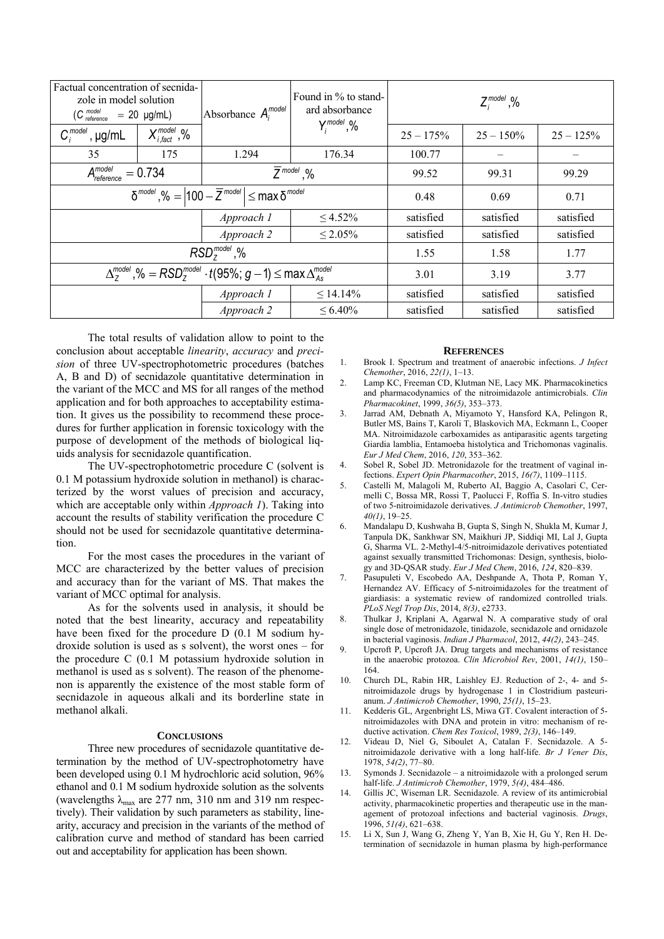| Factual concentration of secnida-<br>zole in model solution<br>$(C_{reference}^{model} = 20$ µg/mL) |                                                                     | Absorbance $A_i^{model}$ | Found in $\%$ to stand-<br>ard absorbance | $Z_i^{\text{model}}$ ,% |              |              |  |
|-----------------------------------------------------------------------------------------------------|---------------------------------------------------------------------|--------------------------|-------------------------------------------|-------------------------|--------------|--------------|--|
| $C_i^{model}$ , $\mu g/mL$                                                                          | $X_{i, \text{fact}}^{\text{model}}$ ,%                              |                          | $Y_i^{\text{model}}, Y_0$                 | $25 - 175%$             | $25 - 150\%$ | $25 - 125\%$ |  |
| 35                                                                                                  | 175                                                                 | 1.294                    | 176.34                                    | 100.77                  |              |              |  |
|                                                                                                     | $A_{reference}^{model} = 0.734$<br>$\overline{Z}^{\text{model}}$ ,% |                          |                                           | 99.52                   | 99.31        | 99.29        |  |
| $\delta^{model}$ , % = $ 100 - \overline{Z}^{model}  \leq \max \delta^{model}$                      |                                                                     |                          | 0.48                                      | 0.69                    | 0.71         |              |  |
|                                                                                                     |                                                                     | Approach 1               | $\leq 4.52\%$                             | satisfied               | satisfied    | satisfied    |  |
|                                                                                                     |                                                                     | Approach 2               | $\leq 2.05\%$                             | satisfied               | satisfied    | satisfied    |  |
| $RSD7model$ ,%                                                                                      |                                                                     |                          |                                           | 1.55                    | 1.58         | 1.77         |  |
| $\Delta_7^{model}$ ,% = RSD <sup>model</sup> · t(95%; g - 1) $\leq$ max $\Delta_{As}^{model}$       |                                                                     |                          | 3.01                                      | 3.19                    | 3.77         |              |  |
|                                                                                                     |                                                                     | Approach 1               | $\leq 14.14\%$                            | satisfied               | satisfied    | satisfied    |  |
|                                                                                                     |                                                                     | Approach 2               | $\leq 6.40\%$                             | satisfied               | satisfied    | satisfied    |  |

The total results of validation allow to point to the conclusion about acceptable *linearity*, *accuracy* and *precision* of three UV-spectrophotometric procedures (batches A, B and D) of secnidazole quantitative determination in the variant of the MCC and MS for all ranges of the method application and for both approaches to acceptability estimation. It gives us the possibility to recommend these procedures for further application in forensic toxicology with the purpose of development of the methods of biological liquids analysis for secnidazole quantification.

The UV-spectrophotometric procedure C (solvent is 0.1 M potassium hydroxide solution in methanol) is characterized by the worst values of precision and accuracy, which are acceptable only within *Approach 1*). Taking into account the results of stability verification the procedure C should not be used for secnidazole quantitative determination.

For the most cases the procedures in the variant of MCC are characterized by the better values of precision and accuracy than for the variant of MS. That makes the variant of MCC optimal for analysis.

As for the solvents used in analysis, it should be noted that the best linearity, accuracy and repeatability have been fixed for the procedure D (0.1 M sodium hydroxide solution is used as s solvent), the worst ones – for the procedure C (0.1 M potassium hydroxide solution in methanol is used as s solvent). The reason of the phenomenon is apparently the existence of the most stable form of secnidazole in aqueous alkali and its borderline state in methanol alkali.

## **CONCLUSIONS**

Three new procedures of secnidazole quantitative determination by the method of UV-spectrophotometry have been developed using 0.1 M hydrochloric acid solution, 96% ethanol and 0.1 M sodium hydroxide solution as the solvents (wavelengths  $\lambda_{\text{max}}$  are 277 nm, 310 nm and 319 nm respectively). Their validation by such parameters as stability, linearity, accuracy and precision in the variants of the method of calibration curve and method of standard has been carried out and acceptability for application has been shown.

## **REFERENCES**

- 1. Brook I. Spectrum and treatment of anaerobic infections. *J Infect Chemother*, 2016, *22(1)*, 1–13.
- 2. Lamp KC, Freeman CD, Klutman NE, Lacy MK. Pharmacokinetics and pharmacodynamics of the nitroimidazole antimicrobials. *Clin Pharmacokinet*, 1999, *36(5)*, 353–373.
- 3. Jarrad AM, Debnath A, Miyamoto Y, Hansford KA, Pelingon R, Butler MS, Bains T, Karoli T, Blaskovich MA, Eckmann L, Cooper MA. Nitroimidazole carboxamides as antiparasitic agents targeting Giardia lamblia, Entamoeba histolytica and Trichomonas vaginalis. *Eur J Med Chem*, 2016, *120*, 353–362.
- 4. Sobel R, Sobel JD. Metronidazole for the treatment of vaginal infections. *Expert Opin Pharmacother*, 2015, *16(7)*, 1109–1115.
- 5. Castelli M, Malagoli M, Ruberto AI, Baggio A, Casolari C, Cermelli C, Bossa MR, Rossi T, Paolucci F, Roffia S. In-vitro studies of two 5-nitroimidazole derivatives. *J Antimicrob Chemother*, 1997, *40(1)*, 19–25.
- 6. Mandalapu D, Kushwaha B, Gupta S, Singh N, Shukla M, Kumar J, Tanpula DK, Sankhwar SN, Maikhuri JP, Siddiqi MI, Lal J, Gupta G, Sharma VL. 2-Methyl-4/5-nitroimidazole derivatives potentiated against sexually transmitted Trichomonas: Design, synthesis, biology and 3D-QSAR study. *Eur J Med Chem*, 2016, *124*, 820–839.
- 7. Pasupuleti V, Escobedo AA, Deshpande A, Thota P, Roman Y, Hernandez AV. Efficacy of 5-nitroimidazoles for the treatment of giardiasis: a systematic review of randomized controlled trials. *PLoS Negl Trop Dis*, 2014, *8(3)*, e2733.
- 8. Thulkar J, Kriplani A, Agarwal N. A comparative study of oral single dose of metronidazole, tinidazole, secnidazole and ornidazole in bacterial vaginosis. *Indian J Pharmacol*, 2012, *44(2)*, 243–245.
- 9. Upcroft P, Upcroft JA. Drug targets and mechanisms of resistance in the anaerobic protozoa. *Clin Microbiol Rev*, 2001, *14(1)*, 150– 164.
- 10. Church DL, Rabin HR, Laishley EJ. Reduction of 2-, 4- and 5 nitroimidazole drugs by hydrogenase 1 in Clostridium pasteurianum. *J Antimicrob Chemother*, 1990, *25(1)*, 15–23.
- 11. Kedderis GL, Argenbright LS, Miwa GT. Covalent interaction of 5 nitroimidazoles with DNA and protein in vitro: mechanism of reductive activation. *Chem Res Toxicol*, 1989, *2(3)*, 146–149.
- 12. Videau D, Niel G, Siboulet A, Catalan F. Secnidazole. A 5 nitroimidazole derivative with a long half-life. *Br J Vener Dis*, 1978, *54(2)*, 77–80.
- 13. Symonds J. Secnidazole a nitroimidazole with a prolonged serum half-life. *J Antimicrob Chemother*, 1979, *5(4)*, 484–486.
- 14. Gillis JC, Wiseman LR. Secnidazole. A review of its antimicrobial activity, pharmacokinetic properties and therapeutic use in the management of protozoal infections and bacterial vaginosis. *Drugs*, 1996, *51(4)*, 621–638.
- 15. Li X, Sun J, Wang G, Zheng Y, Yan B, Xie H, Gu Y, Ren H. Determination of secnidazole in human plasma by high-performance